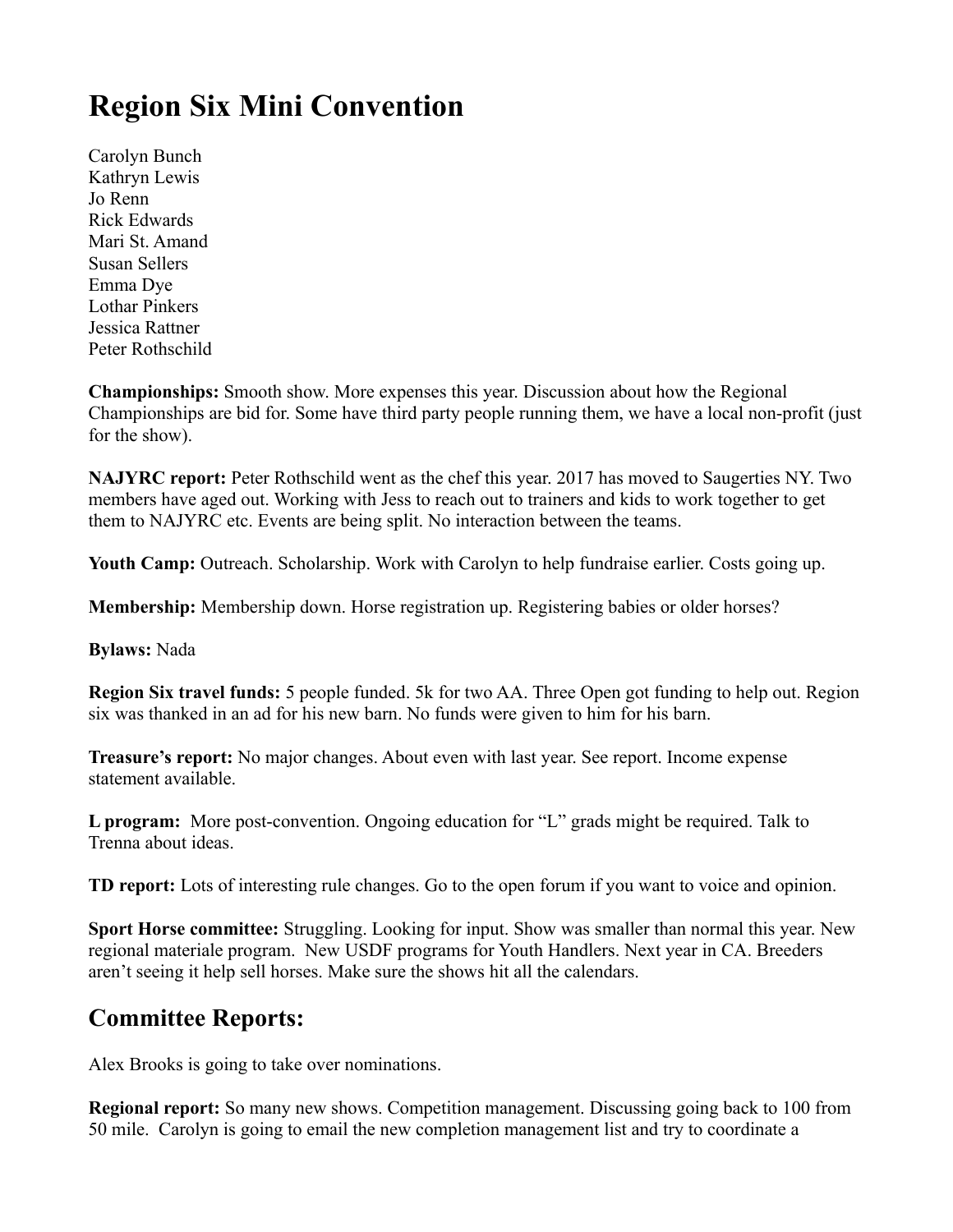## **Region Six Mini Convention**

Carolyn Bunch Kathryn Lewis Jo Renn Rick Edwards Mari St. Amand Susan Sellers Emma Dye Lothar Pinkers Jessica Rattner Peter Rothschild

**Championships:** Smooth show. More expenses this year. Discussion about how the Regional Championships are bid for. Some have third party people running them, we have a local non-profit (just for the show).

**NAJYRC report:** Peter Rothschild went as the chef this year. 2017 has moved to Saugerties NY. Two members have aged out. Working with Jess to reach out to trainers and kids to work together to get them to NAJYRC etc. Events are being split. No interaction between the teams.

**Youth Camp:** Outreach. Scholarship. Work with Carolyn to help fundraise earlier. Costs going up.

**Membership:** Membership down. Horse registration up. Registering babies or older horses?

**Bylaws:** Nada

**Region Six travel funds:** 5 people funded. 5k for two AA. Three Open got funding to help out. Region six was thanked in an ad for his new barn. No funds were given to him for his barn.

**Treasure's report:** No major changes. About even with last year. See report. Income expense statement available.

**L program:** More post-convention. Ongoing education for "L" grads might be required. Talk to Trenna about ideas.

**TD report:** Lots of interesting rule changes. Go to the open forum if you want to voice and opinion.

**Sport Horse committee:** Struggling. Looking for input. Show was smaller than normal this year. New regional materiale program. New USDF programs for Youth Handlers. Next year in CA. Breeders aren't seeing it help sell horses. Make sure the shows hit all the calendars.

## **Committee Reports:**

Alex Brooks is going to take over nominations.

**Regional report:** So many new shows. Competition management. Discussing going back to 100 from 50 mile. Carolyn is going to email the new completion management list and try to coordinate a